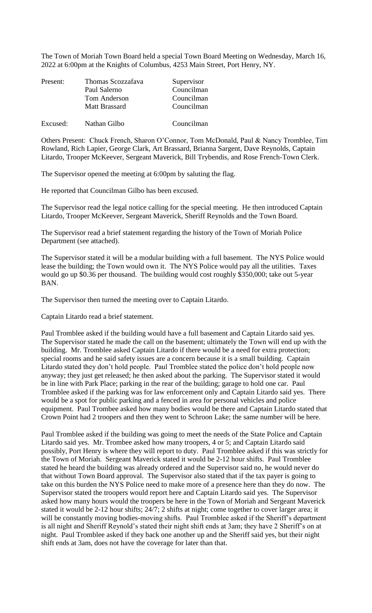The Town of Moriah Town Board held a special Town Board Meeting on Wednesday, March 16, 2022 at 6:00pm at the Knights of Columbus, 4253 Main Street, Port Henry, NY.

| Present: | Thomas Scozzafava   | Supervisor |
|----------|---------------------|------------|
|          | Paul Salerno        | Councilman |
|          | <b>Tom Anderson</b> | Councilman |
|          | Matt Brassard       | Councilman |
| Excused: | Nathan Gilbo        | Councilman |

Others Present: Chuck French, Sharon O'Connor, Tom McDonald, Paul & Nancy Tromblee, Tim Rowland, Rich Lapier, George Clark, Art Brassard, Brianna Sargent, Dave Reynolds, Captain Litardo, Trooper McKeever, Sergeant Maverick, Bill Trybendis, and Rose French-Town Clerk.

The Supervisor opened the meeting at 6:00pm by saluting the flag.

He reported that Councilman Gilbo has been excused.

The Supervisor read the legal notice calling for the special meeting. He then introduced Captain Litardo, Trooper McKeever, Sergeant Maverick, Sheriff Reynolds and the Town Board.

The Supervisor read a brief statement regarding the history of the Town of Moriah Police Department (see attached).

The Supervisor stated it will be a modular building with a full basement. The NYS Police would lease the building; the Town would own it. The NYS Police would pay all the utilities. Taxes would go up \$0.36 per thousand. The building would cost roughly \$350,000; take out 5-year BAN.

The Supervisor then turned the meeting over to Captain Litardo.

Captain Litardo read a brief statement.

Paul Tromblee asked if the building would have a full basement and Captain Litardo said yes. The Supervisor stated he made the call on the basement; ultimately the Town will end up with the building. Mr. Tromblee asked Captain Litardo if there would be a need for extra protection; special rooms and he said safety issues are a concern because it is a small building. Captain Litardo stated they don't hold people. Paul Tromblee stated the police don't hold people now anyway; they just get released; he then asked about the parking. The Supervisor stated it would be in line with Park Place; parking in the rear of the building; garage to hold one car. Paul Tromblee asked if the parking was for law enforcement only and Captain Litardo said yes. There would be a spot for public parking and a fenced in area for personal vehicles and police equipment. Paul Trombee asked how many bodies would be there and Captain Litardo stated that Crown Point had 2 troopers and then they went to Schroon Lake; the same number will be here.

Paul Tromblee asked if the building was going to meet the needs of the State Police and Captain Litardo said yes. Mr. Trombee asked how many troopers, 4 or 5; and Captain Litardo said possibly, Port Henry is where they will report to duty. Paul Tromblee asked if this was strictly for the Town of Moriah. Sergeant Maverick stated it would be 2-12 hour shifts. Paul Tromblee stated he heard the building was already ordered and the Supervisor said no, he would never do that without Town Board approval. The Supervisor also stated that if the tax payer is going to take on this burden the NYS Police need to make more of a presence here than they do now. The Supervisor stated the troopers would report here and Captain Litardo said yes. The Supervisor asked how many hours would the troopers be here in the Town of Moriah and Sergeant Maverick stated it would be 2-12 hour shifts; 24/7; 2 shifts at night; come together to cover larger area; it will be constantly moving bodies-moving shifts. Paul Tromblee asked if the Sheriff's department is all night and Sheriff Reynold's stated their night shift ends at 3am; they have 2 Sheriff's on at night. Paul Tromblee asked if they back one another up and the Sheriff said yes, but their night shift ends at 3am, does not have the coverage for later than that.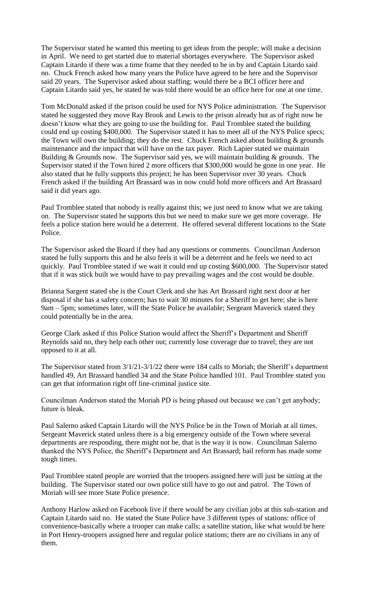The Supervisor stated he wanted this meeting to get ideas from the people; will make a decision in April. We need to get started due to material shortages everywhere. The Supervisor asked Captain Litardo if there was a time frame that they needed to be in by and Captain Litardo said no. Chuck French asked how many years the Police have agreed to be here and the Supervisor said 20 years. The Supervisor asked about staffing; would there be a BCI officer here and Captain Litardo said yes, he stated he was told there would be an office here for one at one time.

Tom McDonald asked if the prison could be used for NYS Police administration. The Supervisor stated he suggested they move Ray Brook and Lewis to the prison already but as of right now he doesn't know what they are going to use the building for. Paul Tromblee stated the building could end up costing \$400,000. The Supervisor stated it has to meet all of the NYS Police specs; the Town will own the building; they do the rest. Chuck French asked about building  $&$  grounds maintenance and the impact that will have on the tax payer. Rich Lapier stated we maintain Building  $&$  Grounds now. The Supervisor said yes, we will maintain building  $&$  grounds. The Supervisor stated if the Town hired 2 more officers that \$300,000 would be gone in one year. He also stated that he fully supports this project; he has been Supervisor over 30 years. Chuck French asked if the building Art Brassard was in now could hold more officers and Art Brassard said it did years ago.

Paul Tromblee stated that nobody is really against this; we just need to know what we are taking on. The Supervisor stated he supports this but we need to make sure we get more coverage. He feels a police station here would be a deterrent. He offered several different locations to the State Police.

The Supervisor asked the Board if they had any questions or comments. Councilman Anderson stated he fully supports this and he also feels it will be a deterrent and he feels we need to act quickly. Paul Tromblee stated if we wait it could end up costing \$600,000. The Supervisor stated that if it was stick built we would have to pay prevailing wages and the cost would be double.

Brianna Sargent stated she is the Court Clerk and she has Art Brassard right next door at her disposal if she has a safety concern; has to wait 30 minutes for a Sheriff to get here; she is here 9am – 5pm; sometimes later, will the State Police be available; Sergeant Maverick stated they could potentially be in the area.

George Clark asked if this Police Station would affect the Sheriff's Department and Sheriff Reynolds said no, they help each other out; currently lose coverage due to travel; they are not opposed to it at all.

The Supervisor stated from 3/1/21-3/1/22 there were 184 calls to Moriah; the Sheriff's department handled 49, Art Brassard handled 34 and the State Police handled 101. Paul Tromblee stated you can get that information right off line-criminal justice site.

Councilman Anderson stated the Moriah PD is being phased out because we can't get anybody; future is bleak.

Paul Salerno asked Captain Litardo will the NYS Police be in the Town of Moriah at all times. Sergeant Maverick stated unless there is a big emergency outside of the Town where several departments are responding, there might not be, that is the way it is now. Councilman Salerno thanked the NYS Police, the Sheriff's Department and Art Brassard; bail reform has made some tough times.

Paul Tromblee stated people are worried that the troopers assigned here will just be sitting at the building. The Supervisor stated our own police still have to go out and patrol. The Town of Moriah will see more State Police presence.

Anthony Harlow asked on Facebook live if there would be any civilian jobs at this sub-station and Captain Litardo said no. He stated the State Police have 3 different types of stations: office of convenience-basically where a trooper can make calls; a satellite station, like what would be here in Port Henry-troopers assigned here and regular police stations; there are no civilians in any of them.